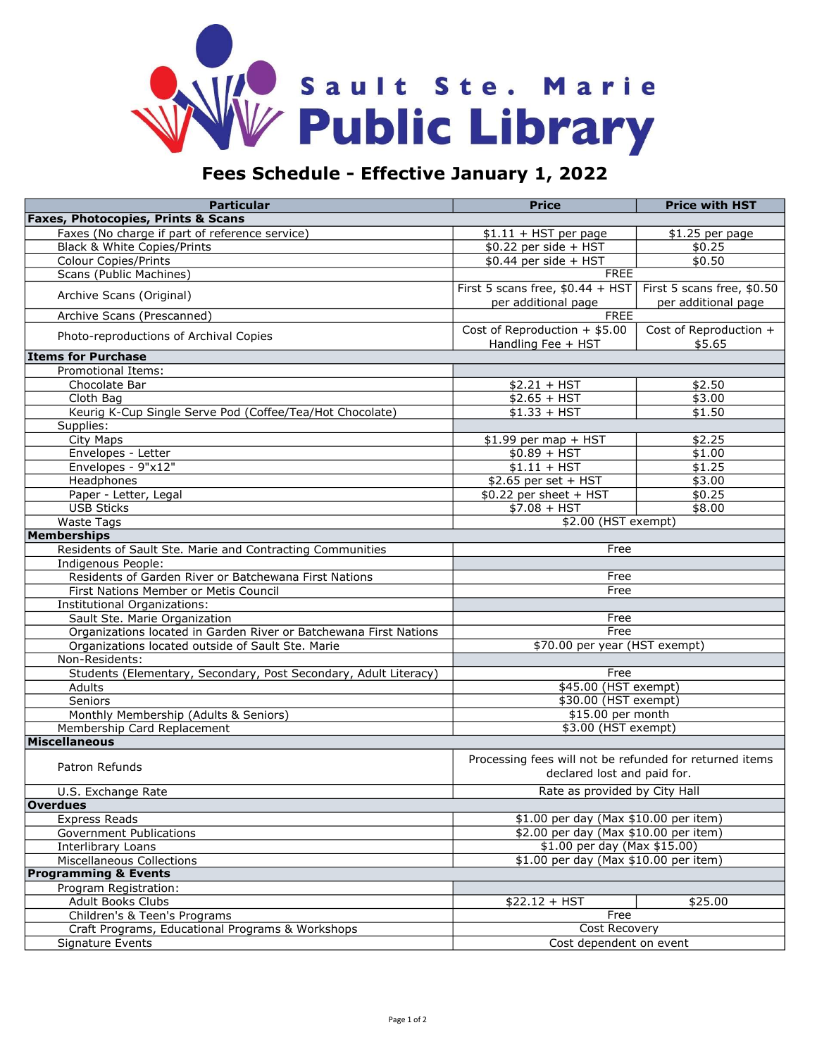

## Fees Schedule - Effective January 1, 2022

| <b>Particular</b>                                                 | <b>Price</b>                                            | <b>Price with HST</b>            |  |
|-------------------------------------------------------------------|---------------------------------------------------------|----------------------------------|--|
| <b>Faxes, Photocopies, Prints &amp; Scans</b>                     |                                                         |                                  |  |
| Faxes (No charge if part of reference service)                    | $$1.11 + HST$ per page                                  | \$1.25 per page                  |  |
| Black & White Copies/Prints                                       | $$0.22$ per side + HST                                  | \$0.25                           |  |
| <b>Colour Copies/Prints</b>                                       | $$0.44$ per side + HST                                  | \$0.50                           |  |
| Scans (Public Machines)                                           | <b>FREE</b>                                             |                                  |  |
|                                                                   | First 5 scans free, $$0.44 + HST$                       | First 5 scans free, \$0.50       |  |
| Archive Scans (Original)                                          | per additional page                                     | per additional page              |  |
| Archive Scans (Prescanned)                                        | <b>FREE</b>                                             |                                  |  |
| Photo-reproductions of Archival Copies                            | Cost of Reproduction $+$ \$5.00<br>Handling Fee + HST   | Cost of Reproduction +<br>\$5.65 |  |
| <b>Items for Purchase</b>                                         |                                                         |                                  |  |
| Promotional Items:                                                |                                                         |                                  |  |
| Chocolate Bar                                                     | $$2.21 + HST$                                           | \$2.50                           |  |
| Cloth Bag                                                         | $$2.65 + HST$                                           | \$3.00                           |  |
| Keurig K-Cup Single Serve Pod (Coffee/Tea/Hot Chocolate)          | $$1.33 + HST$                                           | \$1.50                           |  |
| Supplies:                                                         |                                                         |                                  |  |
| City Maps                                                         | $$1.99$ per map + HST                                   | \$2.25                           |  |
| Envelopes - Letter                                                | $$0.89 + HST$                                           | \$1.00                           |  |
| Envelopes - 9"x12"                                                | $$1.11 + HST$                                           | $\sqrt{1.25}$                    |  |
| Headphones                                                        | \$2.65 per set + HST                                    | \$3.00                           |  |
| Paper - Letter, Legal                                             | \$0.22 per sheet + HST                                  | \$0.25                           |  |
| <b>USB Sticks</b>                                                 | $$7.08 + HST$                                           | \$8.00                           |  |
| <b>Waste Tags</b>                                                 |                                                         |                                  |  |
| \$2.00 (HST exempt)<br><b>Memberships</b>                         |                                                         |                                  |  |
| Residents of Sault Ste. Marie and Contracting Communities         | Free                                                    |                                  |  |
| Indigenous People:                                                |                                                         |                                  |  |
| Residents of Garden River or Batchewana First Nations             | Free                                                    |                                  |  |
| First Nations Member or Metis Council                             | Free                                                    |                                  |  |
| Institutional Organizations:                                      |                                                         |                                  |  |
| Sault Ste. Marie Organization                                     | Free                                                    |                                  |  |
| Organizations located in Garden River or Batchewana First Nations | Free                                                    |                                  |  |
| Organizations located outside of Sault Ste. Marie                 | \$70.00 per year (HST exempt)                           |                                  |  |
| Non-Residents:                                                    |                                                         |                                  |  |
| Students (Elementary, Secondary, Post Secondary, Adult Literacy)  | Free                                                    |                                  |  |
| Adults                                                            | \$45.00 (HST exempt)                                    |                                  |  |
| Seniors                                                           | \$30.00 (HST exempt)                                    |                                  |  |
| Monthly Membership (Adults & Seniors)                             | \$15.00 per month                                       |                                  |  |
| Membership Card Replacement                                       | \$3.00 (HST exempt)                                     |                                  |  |
| <b>Miscellaneous</b>                                              |                                                         |                                  |  |
|                                                                   |                                                         |                                  |  |
| Patron Refunds                                                    | Processing fees will not be refunded for returned items |                                  |  |
|                                                                   | declared lost and paid for.                             |                                  |  |
| U.S. Exchange Rate                                                | Rate as provided by City Hall                           |                                  |  |
| <b>Overdues</b>                                                   |                                                         |                                  |  |
| <b>Express Reads</b>                                              | \$1.00 per day (Max \$10.00 per item)                   |                                  |  |
| <b>Government Publications</b>                                    | \$2.00 per day (Max \$10.00 per item)                   |                                  |  |
| Interlibrary Loans                                                | \$1.00 per day (Max \$15.00)                            |                                  |  |
| <b>Miscellaneous Collections</b>                                  | \$1.00 per day (Max \$10.00 per item)                   |                                  |  |
| <b>Programming &amp; Events</b>                                   |                                                         |                                  |  |
| Program Registration:                                             |                                                         |                                  |  |
| <b>Adult Books Clubs</b>                                          | $$22.12 + HST$                                          | \$25.00                          |  |
| Children's & Teen's Programs                                      | Free                                                    |                                  |  |
| Craft Programs, Educational Programs & Workshops                  | <b>Cost Recovery</b>                                    |                                  |  |
| Signature Events                                                  | Cost dependent on event                                 |                                  |  |
|                                                                   |                                                         |                                  |  |